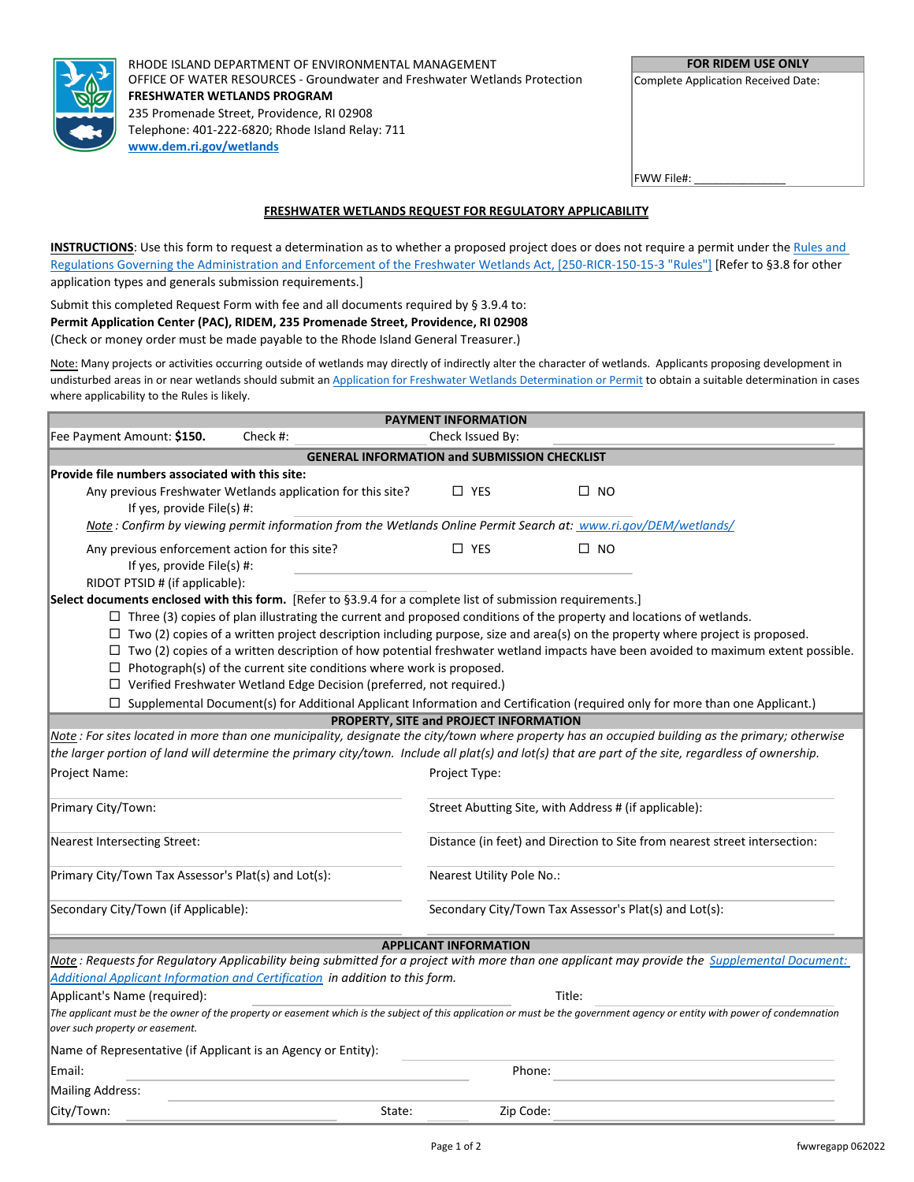

RHODE ISLAND DEPARTMENT OF ENVIRONMENTAL MANAGEMENT OFFICE OF WATER RESOURCES - Groundwater and Freshwater Wetlands Protection **FRESHWATER WETLANDS PROGRAM** 235 Promenade Street, Providence, RI 02908 Telephone: 401-222-6820; Rhode Island Relay: 711 **[www.dem.ri.gov/wetlands](http://www.dem.ri.gov/wetlands)**

| <b>FOR RIDEM USE ONLY</b> |  |
|---------------------------|--|
|---------------------------|--|

Complete Application Received Date:

FWW File#:

## **FRESHWATER WETLANDS REQUEST FOR REGULATORY APPLICABILITY**

**INSTRUCTIONS**: Use this form to request a determination as to whether a proposed project does or does not require a permit under the Rules and [Regulations Governing the Administration and Enforcement of the Freshwater Wetlands Act, \[250-RICR-150-15-3 "Rules"\]](https://rules.sos.ri.gov/regulations/part/250-150-15-3) [Refer to §3.8 for other application types and generals submission requirements.]

Submit this completed Request Form with fee and all documents required by § 3.9.4 to: **Permit Application Center (PAC), RIDEM, 235 Promenade Street, Providence, RI 02908** (Check or money order must be made payable to the Rhode Island General Treasurer.)

Note: Many projects or activities occurring outside of wetlands may directly of indirectly alter the character of wetlands. Applicants proposing development in undisturbed areas in or near wetlands should submit an Application [for Freshwater Wetlands Determination or Permit](http://[s0l0];/#wetlands) to obtain a suitable determination in cases where applicability to the Rules is likely.

|                                                                                                                                                                                                               | <b>PAYMENT INFORMATION</b>       |                                                                                                                                   |  |
|---------------------------------------------------------------------------------------------------------------------------------------------------------------------------------------------------------------|----------------------------------|-----------------------------------------------------------------------------------------------------------------------------------|--|
| Fee Payment Amount: \$150.<br>Check #:                                                                                                                                                                        | Check Issued By:                 |                                                                                                                                   |  |
| <b>GENERAL INFORMATION and SUBMISSION CHECKLIST</b>                                                                                                                                                           |                                  |                                                                                                                                   |  |
| Provide file numbers associated with this site:                                                                                                                                                               |                                  |                                                                                                                                   |  |
| Any previous Freshwater Wetlands application for this site?                                                                                                                                                   | $\Box$ YES                       | $\square$ NO                                                                                                                      |  |
| If yes, provide File(s) #:                                                                                                                                                                                    |                                  |                                                                                                                                   |  |
| Note: Confirm by viewing permit information from the Wetlands Online Permit Search at: www.ri.gov/DEM/wetlands/                                                                                               |                                  |                                                                                                                                   |  |
| Any previous enforcement action for this site?                                                                                                                                                                | $\square$ YES                    | $\square$ NO                                                                                                                      |  |
| If yes, provide File(s) #:                                                                                                                                                                                    |                                  |                                                                                                                                   |  |
| RIDOT PTSID # (if applicable):                                                                                                                                                                                |                                  |                                                                                                                                   |  |
| Select documents enclosed with this form. [Refer to §3.9.4 for a complete list of submission requirements.]                                                                                                   |                                  |                                                                                                                                   |  |
| $\Box$ Three (3) copies of plan illustrating the current and proposed conditions of the property and locations of wetlands.                                                                                   |                                  |                                                                                                                                   |  |
| $\Box$ Two (2) copies of a written project description including purpose, size and area(s) on the property where project is proposed.<br>$\Box$                                                               |                                  | Two (2) copies of a written description of how potential freshwater wetland impacts have been avoided to maximum extent possible. |  |
| Photograph(s) of the current site conditions where work is proposed.<br>$\Box$                                                                                                                                |                                  |                                                                                                                                   |  |
| $\Box$ Verified Freshwater Wetland Edge Decision (preferred, not required.)                                                                                                                                   |                                  |                                                                                                                                   |  |
|                                                                                                                                                                                                               |                                  |                                                                                                                                   |  |
| Supplemental Document(s) for Additional Applicant Information and Certification (required only for more than one Applicant.)<br>PROPERTY, SITE and PROJECT INFORMATION                                        |                                  |                                                                                                                                   |  |
| Note: For sites located in more than one municipality, designate the city/town where property has an occupied building as the primary; otherwise                                                              |                                  |                                                                                                                                   |  |
| the larger portion of land will determine the primary city/town. Include all plat(s) and lot(s) that are part of the site, regardless of ownership.                                                           |                                  |                                                                                                                                   |  |
| Project Name:                                                                                                                                                                                                 | Project Type:                    |                                                                                                                                   |  |
|                                                                                                                                                                                                               |                                  |                                                                                                                                   |  |
| Primary City/Town:                                                                                                                                                                                            |                                  | Street Abutting Site, with Address # (if applicable):                                                                             |  |
|                                                                                                                                                                                                               |                                  |                                                                                                                                   |  |
| Nearest Intersecting Street:                                                                                                                                                                                  |                                  | Distance (in feet) and Direction to Site from nearest street intersection:                                                        |  |
| Primary City/Town Tax Assessor's Plat(s) and Lot(s):                                                                                                                                                          | <b>Nearest Utility Pole No.:</b> |                                                                                                                                   |  |
|                                                                                                                                                                                                               |                                  |                                                                                                                                   |  |
| Secondary City/Town (if Applicable):                                                                                                                                                                          |                                  | Secondary City/Town Tax Assessor's Plat(s) and Lot(s):                                                                            |  |
|                                                                                                                                                                                                               |                                  |                                                                                                                                   |  |
| <b>APPLICANT INFORMATION</b>                                                                                                                                                                                  |                                  |                                                                                                                                   |  |
| Note: Requests for Regulatory Applicability being submitted for a project with more than one applicant may provide the Supplemental Document:                                                                 |                                  |                                                                                                                                   |  |
| Additional Applicant Information and Certification in addition to this form.                                                                                                                                  |                                  |                                                                                                                                   |  |
| Applicant's Name (required):                                                                                                                                                                                  |                                  | Title:                                                                                                                            |  |
| The applicant must be the owner of the property or easement which is the subject of this application or must be the government agency or entity with power of condemnation<br>over such property or easement. |                                  |                                                                                                                                   |  |
| Name of Representative (if Applicant is an Agency or Entity):                                                                                                                                                 |                                  |                                                                                                                                   |  |
| Email:                                                                                                                                                                                                        |                                  | Phone:                                                                                                                            |  |
| Mailing Address:                                                                                                                                                                                              |                                  |                                                                                                                                   |  |
| City/Town:<br>State:                                                                                                                                                                                          |                                  | Zip Code:                                                                                                                         |  |